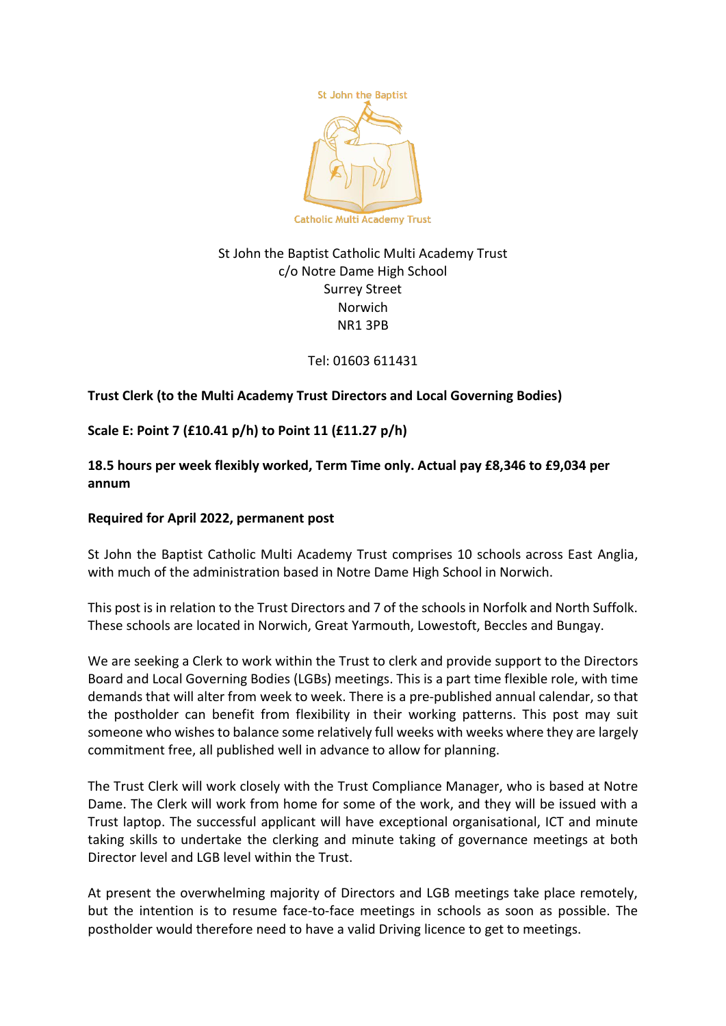

# St John the Baptist Catholic Multi Academy Trust c/o Notre Dame High School Surrey Street **Norwich** NR1 3PB

Tel: 01603 611431

# **Trust Clerk (to the Multi Academy Trust Directors and Local Governing Bodies)**

**Scale E: Point 7 (£10.41 p/h) to Point 11 (£11.27 p/h)**

**18.5 hours per week flexibly worked, Term Time only. Actual pay £8,346 to £9,034 per annum**

### **Required for April 2022, permanent post**

St John the Baptist Catholic Multi Academy Trust comprises 10 schools across East Anglia, with much of the administration based in Notre Dame High School in Norwich.

This post is in relation to the Trust Directors and 7 of the schools in Norfolk and North Suffolk. These schools are located in Norwich, Great Yarmouth, Lowestoft, Beccles and Bungay.

We are seeking a Clerk to work within the Trust to clerk and provide support to the Directors Board and Local Governing Bodies (LGBs) meetings. This is a part time flexible role, with time demands that will alter from week to week. There is a pre-published annual calendar, so that the postholder can benefit from flexibility in their working patterns. This post may suit someone who wishes to balance some relatively full weeks with weeks where they are largely commitment free, all published well in advance to allow for planning.

The Trust Clerk will work closely with the Trust Compliance Manager, who is based at Notre Dame. The Clerk will work from home for some of the work, and they will be issued with a Trust laptop. The successful applicant will have exceptional organisational, ICT and minute taking skills to undertake the clerking and minute taking of governance meetings at both Director level and LGB level within the Trust.

At present the overwhelming majority of Directors and LGB meetings take place remotely, but the intention is to resume face-to-face meetings in schools as soon as possible. The postholder would therefore need to have a valid Driving licence to get to meetings.